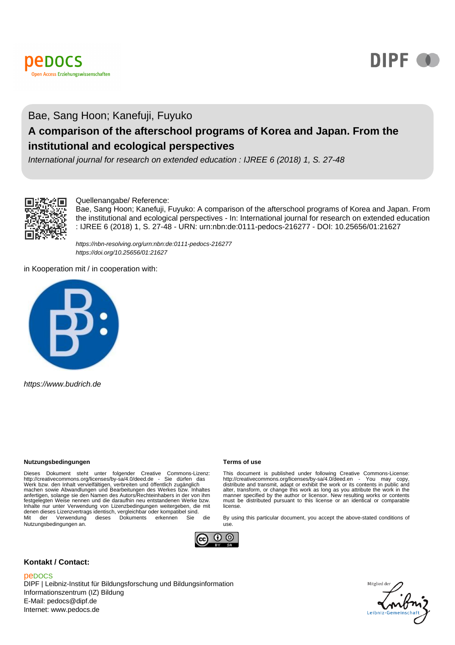



# Bae, Sang Hoon; Kanefuji, Fuyuko **A comparison of the afterschool programs of Korea and Japan. From the institutional and ecological perspectives**

International journal for research on extended education : IJREE 6 (2018) 1, S. 27-48



#### Quellenangabe/ Reference:

Bae, Sang Hoon; Kanefuji, Fuyuko: A comparison of the afterschool programs of Korea and Japan. From the institutional and ecological perspectives - In: International journal for research on extended education : IJREE 6 (2018) 1, S. 27-48 - URN: urn:nbn:de:0111-pedocs-216277 - DOI: 10.25656/01:21627

https://nbn-resolving.org/urn:nbn:de:0111-pedocs-216277 https://doi.org/10.25656/01:21627

in Kooperation mit / in cooperation with:



https://www.budrich.de

#### **Nutzungsbedingungen Terms of use**

Dieses Dokument steht unter folgender Creative Commons-Lizenz: http://creativecommons.org/licenses/by-sa/4.0/deed.de - Sie dürfen das Werk bzw. den Inhalt vervielfältigen, verbreiten und öffentlich zugänglich machen sowie Abwandlungen und Bearbeitungen des Werkes bzw. Inhaltes<br>anfertigen, solange sie den Namen des Autors/Rechteinhabers in der von ihm<br>festgelegten Weise nennen und die daraufhin neu entstandenen Werke bzw. Inhalte nur unter Verwendung von Lizenzbedingungen weitergeben, die mit denen dieses Lizenzvertrags identisch, vergleichbar oder kompatibel sind. Mit der Verwendung dieses Dokuments erkennen Sie die Nutzungsbedingungen an.

This document is published under following Creative Commons-License:<br>http://creativecommons.org/licenses/by-sa/4.0/deed.en - You may copy,<br>distribute and transmit, adapt or exhibit the work or its contents in public and alter, transform, or change this work as long as you attribute the work in the manner specified by the author or licensor. New resulting works or contents must be distributed pursuant to this license or an identical or comparable license.

By using this particular document, you accept the above-stated conditions of



use.

#### **Kontakt / Contact:**

#### peDOCS

DIPF | Leibniz-Institut für Bildungsforschung und Bildungsinformation Informationszentrum (IZ) Bildung E-Mail: pedocs@dipf.de Internet: www.pedocs.de

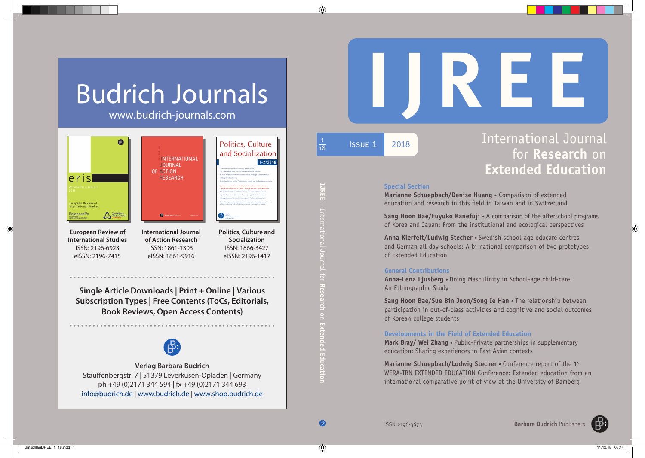

#### **Special Section**

**Marianne Schuepbach/Denise Huang •** Comparison of extended education and research in this field in Taiwan and in Switzerland

**Sang Hoon Bae/Fuyuko Kanefuji •** A comparison of the afterschool programs of Korea and Japan: From the institutional and ecological perspectives

**Anna Klerfelt/Ludwig Stecher •** Swedish school-age educare centres and German all-day schools: A bi-national comparison of two prototypes of Extended Education

## **General Contributions**

**Anna-Lena Ljusberg •** Doing Masculinity in School-age child-care: An Ethnographic Study

**Sang Hoon Bae/Sue Bin Jeon/Song Ie Han •** The relationship between participation in out-of-class activities and cognitive and social outcomes of Korean college students

#### **Developments in the Field of Extended Education**

**Mark Bray/ Wei Zhang •** Public-Private partnerships in supplementary education: Sharing experiences in East Asian contexts

**Marianne Schuepbach/Ludwig Stecher •** Conference report of the 1st WERA-IRN EXTENDED EDUCATION Conference: Extended education from an international comparative point of view at the University of Bamberg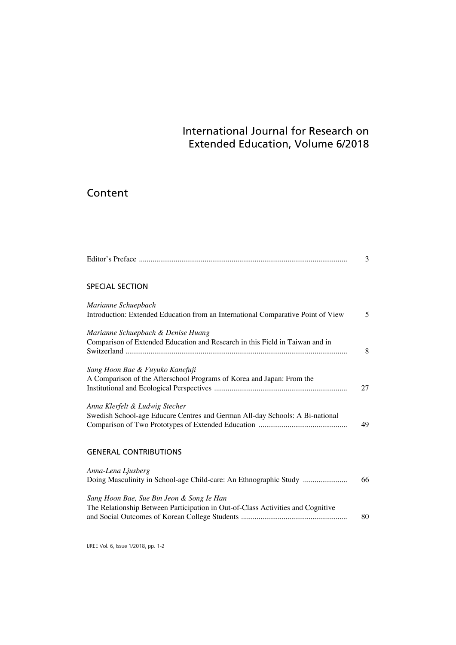# International Journal for Research on Extended Education, Volume 6/2018

# Content

|                                                                                                                              | 3  |
|------------------------------------------------------------------------------------------------------------------------------|----|
| <b>SPECIAL SECTION</b>                                                                                                       |    |
| Marianne Schuepbach<br>Introduction: Extended Education from an International Comparative Point of View                      | 5  |
| Marianne Schuepbach & Denise Huang<br>Comparison of Extended Education and Research in this Field in Taiwan and in           | 8  |
| Sang Hoon Bae & Fuyuko Kanefuji<br>A Comparison of the Afterschool Programs of Korea and Japan: From the                     | 27 |
| Anna Klerfelt & Ludwig Stecher<br>Swedish School-age Educare Centres and German All-day Schools: A Bi-national               | 49 |
| <b>GENERAL CONTRIBUTIONS</b>                                                                                                 |    |
| Anna-Lena Ljusberg                                                                                                           | 66 |
| Sang Hoon Bae, Sue Bin Jeon & Song Ie Han<br>The Relationship Between Participation in Out-of-Class Activities and Cognitive | 80 |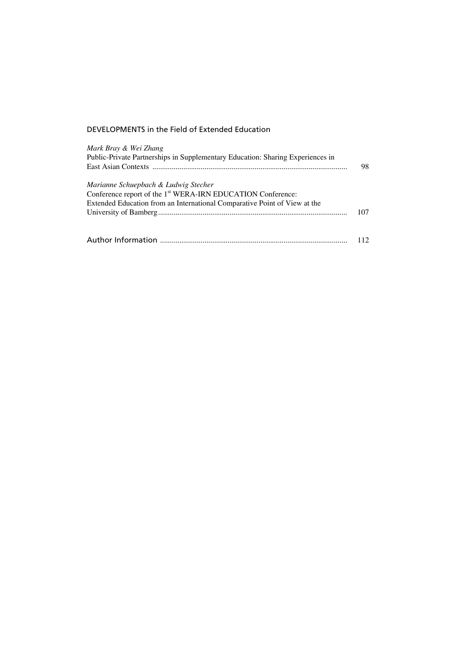# DEVELOPMENTS in the Field of Extended Education

| Mark Bray & Wei Zhang                                                          |      |
|--------------------------------------------------------------------------------|------|
| Public-Private Partnerships in Supplementary Education: Sharing Experiences in |      |
|                                                                                | 98   |
| Marianne Schuepbach & Ludwig Stecher                                           |      |
| Conference report of the 1 <sup>st</sup> WERA-IRN EDUCATION Conference:        |      |
| Extended Education from an International Comparative Point of View at the      |      |
|                                                                                | 107  |
|                                                                                | 112. |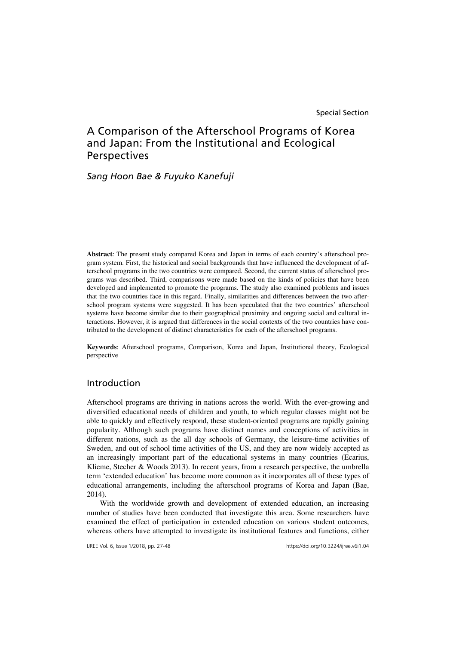# A Comparison of the Afterschool Programs of Korea and Japan: From the Institutional and Ecological Perspectives

# *Sang Hoon Bae & Fuyuko Kanefuji*

**Abstract**: The present study compared Korea and Japan in terms of each country's afterschool program system. First, the historical and social backgrounds that have influenced the development of afterschool programs in the two countries were compared. Second, the current status of afterschool programs was described. Third, comparisons were made based on the kinds of policies that have been developed and implemented to promote the programs. The study also examined problems and issues that the two countries face in this regard. Finally, similarities and differences between the two afterschool program systems were suggested. It has been speculated that the two countries' afterschool systems have become similar due to their geographical proximity and ongoing social and cultural interactions. However, it is argued that differences in the social contexts of the two countries have contributed to the development of distinct characteristics for each of the afterschool programs.

**Keywords**: Afterschool programs, Comparison, Korea and Japan, Institutional theory, Ecological perspective

# Introduction

Afterschool programs are thriving in nations across the world. With the ever-growing and diversified educational needs of children and youth, to which regular classes might not be able to quickly and effectively respond, these student-oriented programs are rapidly gaining popularity. Although such programs have distinct names and conceptions of activities in different nations, such as the all day schools of Germany, the leisure-time activities of Sweden, and out of school time activities of the US, and they are now widely accepted as an increasingly important part of the educational systems in many countries (Ecarius, Klieme, Stecher & Woods 2013). In recent years, from a research perspective, the umbrella term 'extended education' has become more common as it incorporates all of these types of educational arrangements, including the afterschool programs of Korea and Japan (Bae, 2014).

With the worldwide growth and development of extended education, an increasing number of studies have been conducted that investigate this area. Some researchers have examined the effect of participation in extended education on various student outcomes, whereas others have attempted to investigate its institutional features and functions, either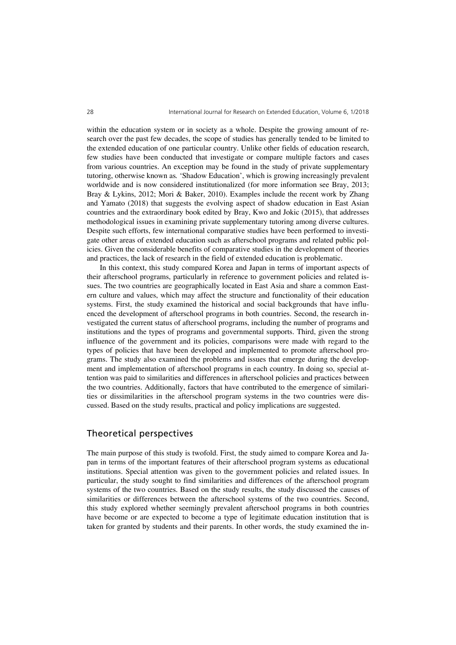within the education system or in society as a whole. Despite the growing amount of research over the past few decades, the scope of studies has generally tended to be limited to the extended education of one particular country. Unlike other fields of education research, few studies have been conducted that investigate or compare multiple factors and cases from various countries. An exception may be found in the study of private supplementary tutoring, otherwise known as*.* 'Shadow Education', which is growing increasingly prevalent worldwide and is now considered institutionalized (for more information see Bray, 2013; Bray & Lykins, 2012; Mori & Baker, 2010). Examples include the recent work by Zhang and Yamato (2018) that suggests the evolving aspect of shadow education in East Asian countries and the extraordinary book edited by Bray, Kwo and Jokic (2015), that addresses methodological issues in examining private supplementary tutoring among diverse cultures. Despite such efforts, few international comparative studies have been performed to investigate other areas of extended education such as afterschool programs and related public policies. Given the considerable benefits of comparative studies in the development of theories and practices, the lack of research in the field of extended education is problematic.

In this context, this study compared Korea and Japan in terms of important aspects of their afterschool programs, particularly in reference to government policies and related issues. The two countries are geographically located in East Asia and share a common Eastern culture and values, which may affect the structure and functionality of their education systems. First, the study examined the historical and social backgrounds that have influenced the development of afterschool programs in both countries. Second, the research investigated the current status of afterschool programs, including the number of programs and institutions and the types of programs and governmental supports. Third, given the strong influence of the government and its policies, comparisons were made with regard to the types of policies that have been developed and implemented to promote afterschool programs. The study also examined the problems and issues that emerge during the development and implementation of afterschool programs in each country. In doing so, special attention was paid to similarities and differences in afterschool policies and practices between the two countries. Additionally, factors that have contributed to the emergence of similarities or dissimilarities in the afterschool program systems in the two countries were discussed. Based on the study results, practical and policy implications are suggested.

## Theoretical perspectives

The main purpose of this study is twofold. First, the study aimed to compare Korea and Japan in terms of the important features of their afterschool program systems as educational institutions. Special attention was given to the government policies and related issues. In particular, the study sought to find similarities and differences of the afterschool program systems of the two countries. Based on the study results, the study discussed the causes of similarities or differences between the afterschool systems of the two countries. Second, this study explored whether seemingly prevalent afterschool programs in both countries have become or are expected to become a type of legitimate education institution that is taken for granted by students and their parents. In other words, the study examined the in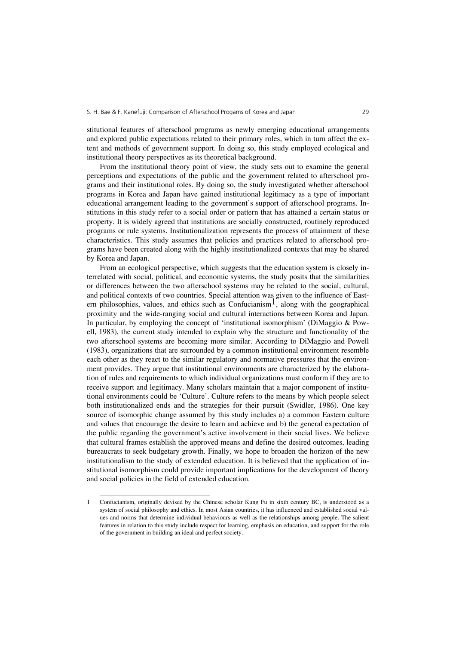stitutional features of afterschool programs as newly emerging educational arrangements and explored public expectations related to their primary roles, which in turn affect the extent and methods of government support. In doing so, this study employed ecological and institutional theory perspectives as its theoretical background.

From the institutional theory point of view, the study sets out to examine the general perceptions and expectations of the public and the government related to afterschool programs and their institutional roles. By doing so, the study investigated whether afterschool programs in Korea and Japan have gained institutional legitimacy as a type of important educational arrangement leading to the government's support of afterschool programs. Institutions in this study refer to a social order or pattern that has attained a certain status or property. It is widely agreed that institutions are socially constructed, routinely reproduced programs or rule systems. Institutionalization represents the process of attainment of these characteristics. This study assumes that policies and practices related to afterschool programs have been created along with the highly institutionalized contexts that may be shared by Korea and Japan.

From an ecological perspective, which suggests that the education system is closely interrelated with social, political, and economic systems, the study posits that the similarities or differences between the two afterschool systems may be related to the social, cultural, and political contexts of two countries. Special attention was given to the influence of Eastern philosophies, values, and ethics such as  $Confucianism<sup>1</sup>$ , along with the geographical proximity and the wide-ranging social and cultural interactions between Korea and Japan. In particular, by employing the concept of 'institutional isomorphism' (DiMaggio & Powell, 1983), the current study intended to explain why the structure and functionality of the two afterschool systems are becoming more similar. According to DiMaggio and Powell (1983), organizations that are surrounded by a common institutional environment resemble each other as they react to the similar regulatory and normative pressures that the environment provides. They argue that institutional environments are characterized by the elaboration of rules and requirements to which individual organizations must conform if they are to receive support and legitimacy. Many scholars maintain that a major component of institutional environments could be 'Culture'. Culture refers to the means by which people select both institutionalized ends and the strategies for their pursuit (Swidler, 1986). One key source of isomorphic change assumed by this study includes a) a common Eastern culture and values that encourage the desire to learn and achieve and b) the general expectation of the public regarding the government's active involvement in their social lives. We believe that cultural frames establish the approved means and define the desired outcomes, leading bureaucrats to seek budgetary growth. Finally, we hope to broaden the horizon of the new institutionalism to the study of extended education. It is believed that the application of institutional isomorphism could provide important implications for the development of theory and social policies in the field of extended education.

j

<sup>1</sup> Confucianism, originally devised by the Chinese scholar Kung Fu in sixth century BC, is understood as a system of social philosophy and ethics. In most Asian countries, it has influenced and established social values and norms that determine individual behaviours as well as the relationships among people. The salient features in relation to this study include respect for learning, emphasis on education, and support for the role of the government in building an ideal and perfect society.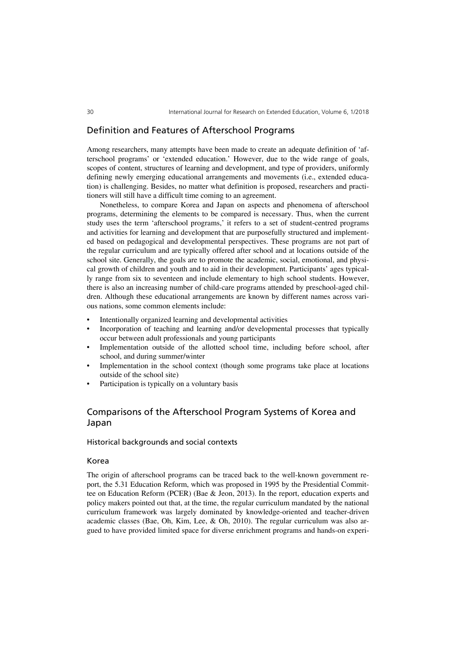# Definition and Features of Afterschool Programs

Among researchers, many attempts have been made to create an adequate definition of 'afterschool programs' or 'extended education.' However, due to the wide range of goals, scopes of content, structures of learning and development, and type of providers, uniformly defining newly emerging educational arrangements and movements (i.e., extended education) is challenging. Besides, no matter what definition is proposed, researchers and practitioners will still have a difficult time coming to an agreement.

Nonetheless, to compare Korea and Japan on aspects and phenomena of afterschool programs, determining the elements to be compared is necessary. Thus, when the current study uses the term 'afterschool programs,' it refers to a set of student-centred programs and activities for learning and development that are purposefully structured and implemented based on pedagogical and developmental perspectives. These programs are not part of the regular curriculum and are typically offered after school and at locations outside of the school site. Generally, the goals are to promote the academic, social, emotional, and physical growth of children and youth and to aid in their development. Participants' ages typically range from six to seventeen and include elementary to high school students. However, there is also an increasing number of child-care programs attended by preschool-aged children. Although these educational arrangements are known by different names across various nations, some common elements include:

- Intentionally organized learning and developmental activities
- Incorporation of teaching and learning and/or developmental processes that typically occur between adult professionals and young participants
- Implementation outside of the allotted school time, including before school, after school, and during summer/winter
- Implementation in the school context (though some programs take place at locations outside of the school site)
- Participation is typically on a voluntary basis

# Comparisons of the Afterschool Program Systems of Korea and Japan

Historical backgrounds and social contexts

#### Korea

The origin of afterschool programs can be traced back to the well-known government report, the 5.31 Education Reform, which was proposed in 1995 by the Presidential Committee on Education Reform (PCER) (Bae & Jeon, 2013). In the report, education experts and policy makers pointed out that, at the time, the regular curriculum mandated by the national curriculum framework was largely dominated by knowledge-oriented and teacher-driven academic classes (Bae, Oh, Kim, Lee, & Oh, 2010). The regular curriculum was also argued to have provided limited space for diverse enrichment programs and hands-on experi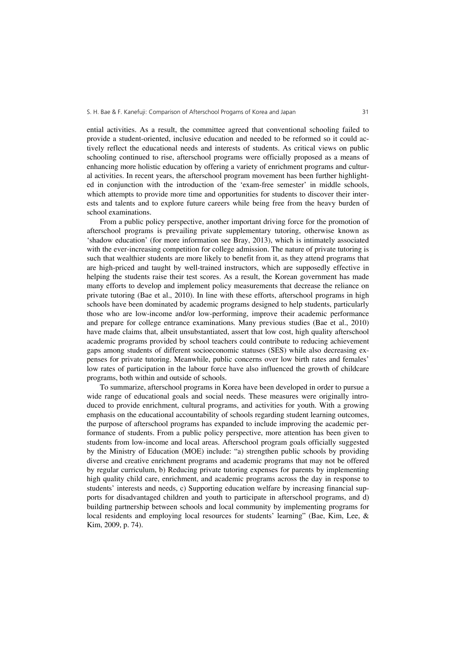ential activities. As a result, the committee agreed that conventional schooling failed to provide a student-oriented, inclusive education and needed to be reformed so it could actively reflect the educational needs and interests of students. As critical views on public schooling continued to rise, afterschool programs were officially proposed as a means of enhancing more holistic education by offering a variety of enrichment programs and cultural activities. In recent years, the afterschool program movement has been further highlighted in conjunction with the introduction of the 'exam-free semester' in middle schools, which attempts to provide more time and opportunities for students to discover their interests and talents and to explore future careers while being free from the heavy burden of school examinations.

From a public policy perspective, another important driving force for the promotion of afterschool programs is prevailing private supplementary tutoring, otherwise known as 'shadow education' (for more information see Bray, 2013), which is intimately associated with the ever-increasing competition for college admission. The nature of private tutoring is such that wealthier students are more likely to benefit from it, as they attend programs that are high-priced and taught by well-trained instructors, which are supposedly effective in helping the students raise their test scores. As a result, the Korean government has made many efforts to develop and implement policy measurements that decrease the reliance on private tutoring (Bae et al., 2010). In line with these efforts, afterschool programs in high schools have been dominated by academic programs designed to help students, particularly those who are low-income and/or low-performing, improve their academic performance and prepare for college entrance examinations. Many previous studies (Bae et al., 2010) have made claims that, albeit unsubstantiated, assert that low cost, high quality afterschool academic programs provided by school teachers could contribute to reducing achievement gaps among students of different socioeconomic statuses (SES) while also decreasing expenses for private tutoring. Meanwhile, public concerns over low birth rates and females' low rates of participation in the labour force have also influenced the growth of childcare programs, both within and outside of schools.

To summarize, afterschool programs in Korea have been developed in order to pursue a wide range of educational goals and social needs. These measures were originally introduced to provide enrichment, cultural programs, and activities for youth. With a growing emphasis on the educational accountability of schools regarding student learning outcomes, the purpose of afterschool programs has expanded to include improving the academic performance of students. From a public policy perspective, more attention has been given to students from low-income and local areas. Afterschool program goals officially suggested by the Ministry of Education (MOE) include: "a) strengthen public schools by providing diverse and creative enrichment programs and academic programs that may not be offered by regular curriculum, b) Reducing private tutoring expenses for parents by implementing high quality child care, enrichment, and academic programs across the day in response to students' interests and needs, c) Supporting education welfare by increasing financial supports for disadvantaged children and youth to participate in afterschool programs, and d) building partnership between schools and local community by implementing programs for local residents and employing local resources for students' learning" (Bae, Kim, Lee, & Kim, 2009, p. 74).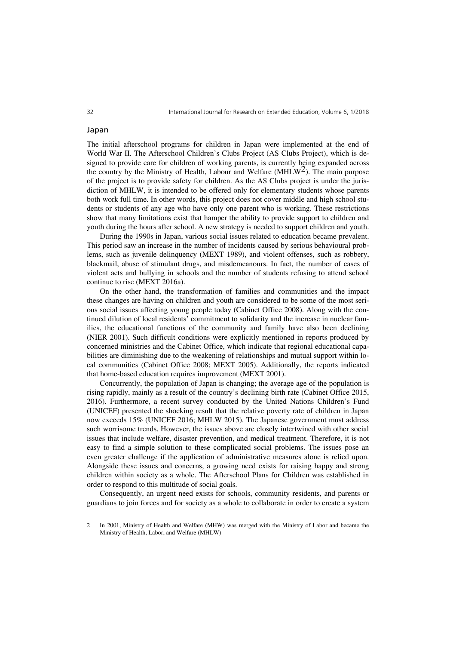#### Japan

j

The initial afterschool programs for children in Japan were implemented at the end of World War II. The Afterschool Children's Clubs Project (AS Clubs Project), which is designed to provide care for children of working parents, is currently being expanded across the country by the Ministry of Health, Labour and Welfare (MHLW<sup>2</sup>). The main purpose of the project is to provide safety for children. As the AS Clubs project is under the jurisdiction of MHLW, it is intended to be offered only for elementary students whose parents both work full time. In other words, this project does not cover middle and high school students or students of any age who have only one parent who is working. These restrictions show that many limitations exist that hamper the ability to provide support to children and youth during the hours after school. A new strategy is needed to support children and youth.

During the 1990s in Japan, various social issues related to education became prevalent. This period saw an increase in the number of incidents caused by serious behavioural problems, such as juvenile delinquency (MEXT 1989), and violent offenses, such as robbery, blackmail, abuse of stimulant drugs, and misdemeanours. In fact, the number of cases of violent acts and bullying in schools and the number of students refusing to attend school continue to rise (MEXT 2016a).

On the other hand, the transformation of families and communities and the impact these changes are having on children and youth are considered to be some of the most serious social issues affecting young people today (Cabinet Office 2008). Along with the continued dilution of local residents' commitment to solidarity and the increase in nuclear families, the educational functions of the community and family have also been declining (NIER 2001). Such difficult conditions were explicitly mentioned in reports produced by concerned ministries and the Cabinet Office, which indicate that regional educational capabilities are diminishing due to the weakening of relationships and mutual support within local communities (Cabinet Office 2008; MEXT 2005). Additionally, the reports indicated that home-based education requires improvement (MEXT 2001).

Concurrently, the population of Japan is changing; the average age of the population is rising rapidly, mainly as a result of the country's declining birth rate (Cabinet Office 2015, 2016). Furthermore, a recent survey conducted by the United Nations Children's Fund (UNICEF) presented the shocking result that the relative poverty rate of children in Japan now exceeds 15% (UNICEF 2016; MHLW 2015). The Japanese government must address such worrisome trends. However, the issues above are closely intertwined with other social issues that include welfare, disaster prevention, and medical treatment. Therefore, it is not easy to find a simple solution to these complicated social problems. The issues pose an even greater challenge if the application of administrative measures alone is relied upon. Alongside these issues and concerns, a growing need exists for raising happy and strong children within society as a whole. The Afterschool Plans for Children was established in order to respond to this multitude of social goals.

Consequently, an urgent need exists for schools, community residents, and parents or guardians to join forces and for society as a whole to collaborate in order to create a system

<sup>2</sup> In 2001, Ministry of Health and Welfare (MHW) was merged with the Ministry of Labor and became the Ministry of Health, Labor, and Welfare (MHLW)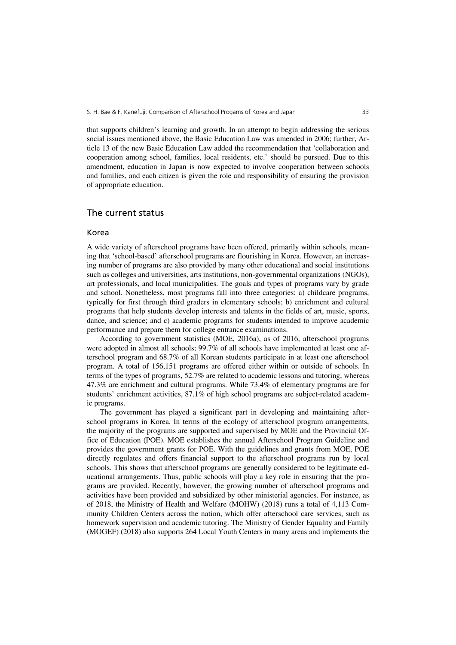#### S. H. Bae & F. Kanefuji: Comparison of Afterschool Progams of Korea and Japan 33

that supports children's learning and growth. In an attempt to begin addressing the serious social issues mentioned above, the Basic Education Law was amended in 2006; further, Article 13 of the new Basic Education Law added the recommendation that 'collaboration and cooperation among school, families, local residents, etc.' should be pursued. Due to this amendment, education in Japan is now expected to involve cooperation between schools and families, and each citizen is given the role and responsibility of ensuring the provision of appropriate education.

## The current status

#### Korea

A wide variety of afterschool programs have been offered, primarily within schools, meaning that 'school-based' afterschool programs are flourishing in Korea. However, an increasing number of programs are also provided by many other educational and social institutions such as colleges and universities, arts institutions, non-governmental organizations (NGOs), art professionals, and local municipalities. The goals and types of programs vary by grade and school. Nonetheless, most programs fall into three categories: a) childcare programs, typically for first through third graders in elementary schools; b) enrichment and cultural programs that help students develop interests and talents in the fields of art, music, sports, dance, and science; and c) academic programs for students intended to improve academic performance and prepare them for college entrance examinations.

According to government statistics (MOE, 2016a), as of 2016, afterschool programs were adopted in almost all schools; 99.7% of all schools have implemented at least one afterschool program and 68.7% of all Korean students participate in at least one afterschool program. A total of 156,151 programs are offered either within or outside of schools. In terms of the types of programs, 52.7% are related to academic lessons and tutoring, whereas 47.3% are enrichment and cultural programs. While 73.4% of elementary programs are for students' enrichment activities, 87.1% of high school programs are subject-related academic programs.

The government has played a significant part in developing and maintaining afterschool programs in Korea. In terms of the ecology of afterschool program arrangements, the majority of the programs are supported and supervised by MOE and the Provincial Office of Education (POE). MOE establishes the annual Afterschool Program Guideline and provides the government grants for POE. With the guidelines and grants from MOE, POE directly regulates and offers financial support to the afterschool programs run by local schools. This shows that afterschool programs are generally considered to be legitimate educational arrangements. Thus, public schools will play a key role in ensuring that the programs are provided. Recently, however, the growing number of afterschool programs and activities have been provided and subsidized by other ministerial agencies. For instance, as of 2018, the Ministry of Health and Welfare (MOHW) (2018) runs a total of 4,113 Community Children Centers across the nation, which offer afterschool care services, such as homework supervision and academic tutoring. The Ministry of Gender Equality and Family (MOGEF) (2018) also supports 264 Local Youth Centers in many areas and implements the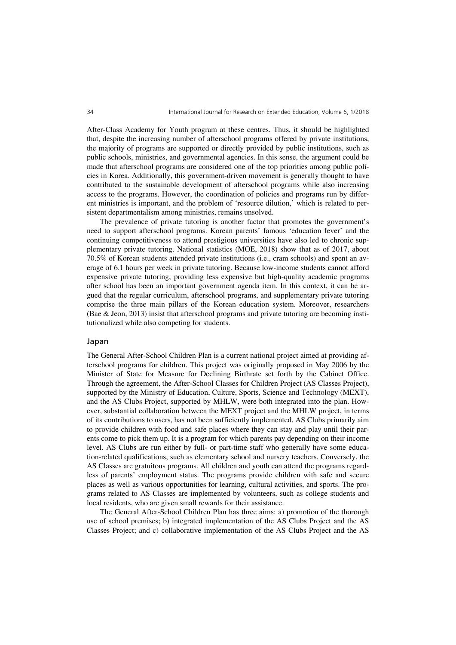After-Class Academy for Youth program at these centres. Thus, it should be highlighted that, despite the increasing number of afterschool programs offered by private institutions, the majority of programs are supported or directly provided by public institutions, such as public schools, ministries, and governmental agencies. In this sense, the argument could be made that afterschool programs are considered one of the top priorities among public policies in Korea. Additionally, this government-driven movement is generally thought to have contributed to the sustainable development of afterschool programs while also increasing access to the programs. However, the coordination of policies and programs run by different ministries is important, and the problem of 'resource dilution,' which is related to persistent departmentalism among ministries, remains unsolved.

The prevalence of private tutoring is another factor that promotes the government's need to support afterschool programs. Korean parents' famous 'education fever' and the continuing competitiveness to attend prestigious universities have also led to chronic supplementary private tutoring. National statistics (MOE, 2018) show that as of 2017, about 70.5% of Korean students attended private institutions (i.e., cram schools) and spent an average of 6.1 hours per week in private tutoring. Because low-income students cannot afford expensive private tutoring, providing less expensive but high-quality academic programs after school has been an important government agenda item. In this context, it can be argued that the regular curriculum, afterschool programs, and supplementary private tutoring comprise the three main pillars of the Korean education system. Moreover, researchers (Bae & Jeon, 2013) insist that afterschool programs and private tutoring are becoming institutionalized while also competing for students.

#### Japan

The General After-School Children Plan is a current national project aimed at providing afterschool programs for children. This project was originally proposed in May 2006 by the Minister of State for Measure for Declining Birthrate set forth by the Cabinet Office. Through the agreement, the After-School Classes for Children Project (AS Classes Project), supported by the Ministry of Education, Culture, Sports, Science and Technology (MEXT), and the AS Clubs Project, supported by MHLW, were both integrated into the plan. However, substantial collaboration between the MEXT project and the MHLW project, in terms of its contributions to users, has not been sufficiently implemented. AS Clubs primarily aim to provide children with food and safe places where they can stay and play until their parents come to pick them up. It is a program for which parents pay depending on their income level. AS Clubs are run either by full- or part-time staff who generally have some education-related qualifications, such as elementary school and nursery teachers. Conversely, the AS Classes are gratuitous programs. All children and youth can attend the programs regardless of parents' employment status. The programs provide children with safe and secure places as well as various opportunities for learning, cultural activities, and sports. The programs related to AS Classes are implemented by volunteers, such as college students and local residents, who are given small rewards for their assistance.

The General After-School Children Plan has three aims: a) promotion of the thorough use of school premises; b) integrated implementation of the AS Clubs Project and the AS Classes Project; and c) collaborative implementation of the AS Clubs Project and the AS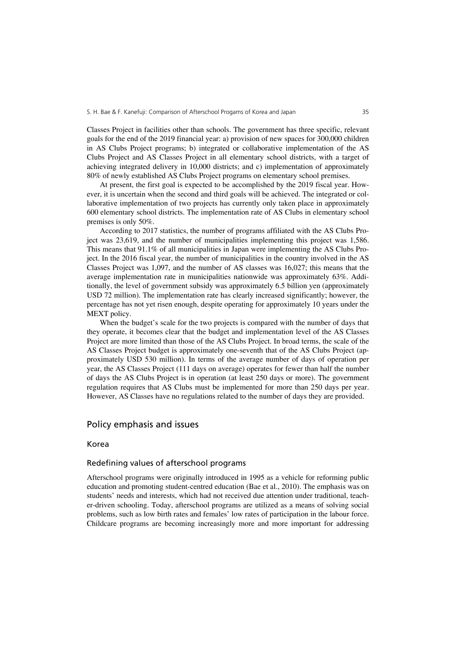Classes Project in facilities other than schools. The government has three specific, relevant goals for the end of the 2019 financial year: a) provision of new spaces for 300,000 children in AS Clubs Project programs; b) integrated or collaborative implementation of the AS Clubs Project and AS Classes Project in all elementary school districts, with a target of achieving integrated delivery in 10,000 districts; and c) implementation of approximately 80% of newly established AS Clubs Project programs on elementary school premises.

At present, the first goal is expected to be accomplished by the 2019 fiscal year. However, it is uncertain when the second and third goals will be achieved. The integrated or collaborative implementation of two projects has currently only taken place in approximately 600 elementary school districts. The implementation rate of AS Clubs in elementary school premises is only 50%.

According to 2017 statistics, the number of programs affiliated with the AS Clubs Project was 23,619, and the number of municipalities implementing this project was 1,586. This means that 91.1% of all municipalities in Japan were implementing the AS Clubs Project. In the 2016 fiscal year, the number of municipalities in the country involved in the AS Classes Project was 1,097, and the number of AS classes was 16,027; this means that the average implementation rate in municipalities nationwide was approximately 63%. Additionally, the level of government subsidy was approximately 6.5 billion yen (approximately USD 72 million). The implementation rate has clearly increased significantly; however, the percentage has not yet risen enough, despite operating for approximately 10 years under the MEXT policy.

When the budget's scale for the two projects is compared with the number of days that they operate, it becomes clear that the budget and implementation level of the AS Classes Project are more limited than those of the AS Clubs Project. In broad terms, the scale of the AS Classes Project budget is approximately one-seventh that of the AS Clubs Project (approximately USD 530 million). In terms of the average number of days of operation per year, the AS Classes Project (111 days on average) operates for fewer than half the number of days the AS Clubs Project is in operation (at least 250 days or more). The government regulation requires that AS Clubs must be implemented for more than 250 days per year. However, AS Classes have no regulations related to the number of days they are provided.

### Policy emphasis and issues

#### Korea

#### Redefining values of afterschool programs

Afterschool programs were originally introduced in 1995 as a vehicle for reforming public education and promoting student-centred education (Bae et al., 2010). The emphasis was on students' needs and interests, which had not received due attention under traditional, teacher-driven schooling. Today, afterschool programs are utilized as a means of solving social problems, such as low birth rates and females' low rates of participation in the labour force. Childcare programs are becoming increasingly more and more important for addressing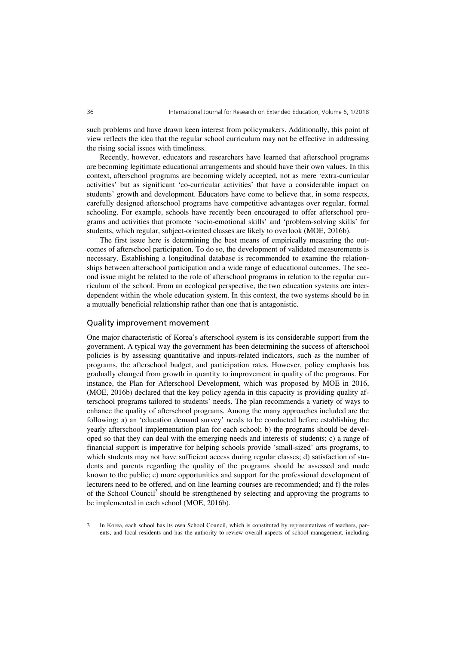such problems and have drawn keen interest from policymakers. Additionally, this point of view reflects the idea that the regular school curriculum may not be effective in addressing the rising social issues with timeliness.

Recently, however, educators and researchers have learned that afterschool programs are becoming legitimate educational arrangements and should have their own values. In this context, afterschool programs are becoming widely accepted, not as mere 'extra-curricular activities' but as significant 'co-curricular activities' that have a considerable impact on students' growth and development. Educators have come to believe that, in some respects, carefully designed afterschool programs have competitive advantages over regular, formal schooling. For example, schools have recently been encouraged to offer afterschool programs and activities that promote 'socio-emotional skills' and 'problem-solving skills' for students, which regular, subject-oriented classes are likely to overlook (MOE, 2016b).

The first issue here is determining the best means of empirically measuring the outcomes of afterschool participation. To do so, the development of validated measurements is necessary. Establishing a longitudinal database is recommended to examine the relationships between afterschool participation and a wide range of educational outcomes. The second issue might be related to the role of afterschool programs in relation to the regular curriculum of the school. From an ecological perspective, the two education systems are interdependent within the whole education system. In this context, the two systems should be in a mutually beneficial relationship rather than one that is antagonistic.

#### Quality improvement movement

j

One major characteristic of Korea's afterschool system is its considerable support from the government. A typical way the government has been determining the success of afterschool policies is by assessing quantitative and inputs-related indicators, such as the number of programs, the afterschool budget, and participation rates. However, policy emphasis has gradually changed from growth in quantity to improvement in quality of the programs. For instance, the Plan for Afterschool Development, which was proposed by MOE in 2016, (MOE, 2016b) declared that the key policy agenda in this capacity is providing quality afterschool programs tailored to students' needs. The plan recommends a variety of ways to enhance the quality of afterschool programs. Among the many approaches included are the following: a) an 'education demand survey' needs to be conducted before establishing the yearly afterschool implementation plan for each school; b) the programs should be developed so that they can deal with the emerging needs and interests of students; c) a range of financial support is imperative for helping schools provide 'small-sized' arts programs, to which students may not have sufficient access during regular classes; d) satisfaction of students and parents regarding the quality of the programs should be assessed and made known to the public; e) more opportunities and support for the professional development of lecturers need to be offered, and on line learning courses are recommended; and f) the roles of the School Council<sup>3</sup> should be strengthened by selecting and approving the programs to be implemented in each school (MOE, 2016b).

<sup>3</sup> In Korea, each school has its own School Council, which is constituted by representatives of teachers, parents, and local residents and has the authority to review overall aspects of school management, including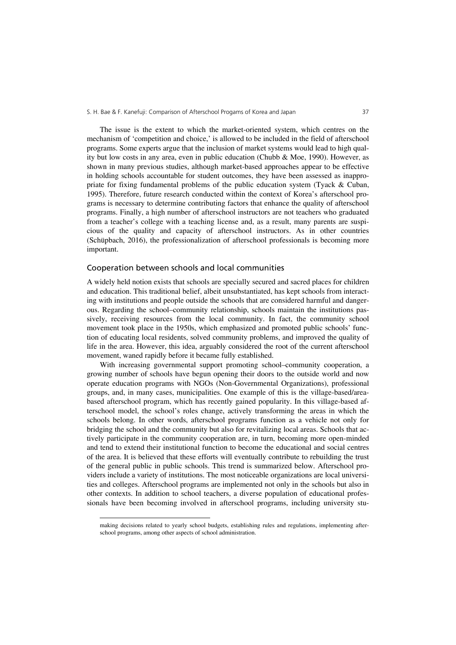#### S. H. Bae & F. Kanefuji: Comparison of Afterschool Progams of Korea and Japan 37

The issue is the extent to which the market-oriented system, which centres on the mechanism of 'competition and choice,' is allowed to be included in the field of afterschool programs. Some experts argue that the inclusion of market systems would lead to high quality but low costs in any area, even in public education (Chubb & Moe, 1990). However, as shown in many previous studies, although market-based approaches appear to be effective in holding schools accountable for student outcomes, they have been assessed as inappropriate for fixing fundamental problems of the public education system (Tyack & Cuban, 1995). Therefore, future research conducted within the context of Korea's afterschool programs is necessary to determine contributing factors that enhance the quality of afterschool programs. Finally, a high number of afterschool instructors are not teachers who graduated from a teacher's college with a teaching license and, as a result, many parents are suspicious of the quality and capacity of afterschool instructors. As in other countries (Schüpbach, 2016), the professionalization of afterschool professionals is becoming more important.

#### Cooperation between schools and local communities

j

A widely held notion exists that schools are specially secured and sacred places for children and education. This traditional belief, albeit unsubstantiated, has kept schools from interacting with institutions and people outside the schools that are considered harmful and dangerous. Regarding the school–community relationship, schools maintain the institutions passively, receiving resources from the local community. In fact, the community school movement took place in the 1950s, which emphasized and promoted public schools' function of educating local residents, solved community problems, and improved the quality of life in the area. However, this idea, arguably considered the root of the current afterschool movement, waned rapidly before it became fully established.

With increasing governmental support promoting school–community cooperation, a growing number of schools have begun opening their doors to the outside world and now operate education programs with NGOs (Non-Governmental Organizations), professional groups, and, in many cases, municipalities. One example of this is the village-based/areabased afterschool program, which has recently gained popularity. In this village-based afterschool model, the school's roles change, actively transforming the areas in which the schools belong. In other words, afterschool programs function as a vehicle not only for bridging the school and the community but also for revitalizing local areas. Schools that actively participate in the community cooperation are, in turn, becoming more open-minded and tend to extend their institutional function to become the educational and social centres of the area. It is believed that these efforts will eventually contribute to rebuilding the trust of the general public in public schools. This trend is summarized below. Afterschool providers include a variety of institutions. The most noticeable organizations are local universities and colleges. Afterschool programs are implemented not only in the schools but also in other contexts. In addition to school teachers, a diverse population of educational professionals have been becoming involved in afterschool programs, including university stu-

making decisions related to yearly school budgets, establishing rules and regulations, implementing afterschool programs, among other aspects of school administration.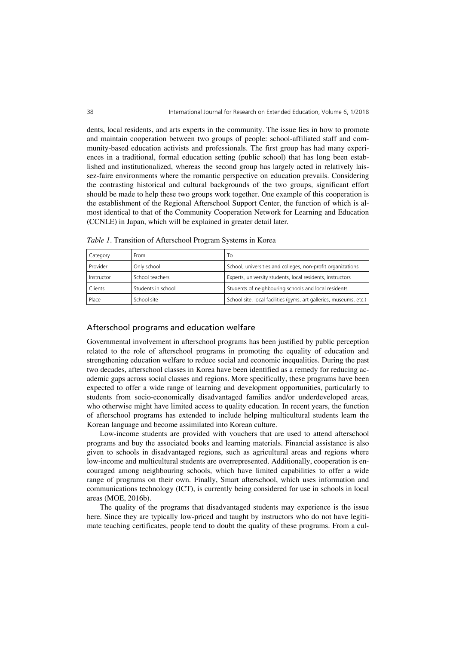dents, local residents, and arts experts in the community. The issue lies in how to promote and maintain cooperation between two groups of people: school-affiliated staff and community-based education activists and professionals. The first group has had many experiences in a traditional, formal education setting (public school) that has long been established and institutionalized, whereas the second group has largely acted in relatively laissez-faire environments where the romantic perspective on education prevails. Considering the contrasting historical and cultural backgrounds of the two groups, significant effort should be made to help these two groups work together. One example of this cooperation is the establishment of the Regional Afterschool Support Center, the function of which is almost identical to that of the Community Cooperation Network for Learning and Education (CCNLE) in Japan, which will be explained in greater detail later*.*

| Category   | From               | To                                                                 |
|------------|--------------------|--------------------------------------------------------------------|
| Provider   | Only school        | School, universities and colleges, non-profit organizations        |
| Instructor | School teachers    | Experts, university students, local residents, instructors         |
| Clients    | Students in school | Students of neighbouring schools and local residents               |
| Place      | School site        | School site, local facilities (gyms, art galleries, museums, etc.) |

*Table 1*. Transition of Afterschool Program Systems in Korea

#### Afterschool programs and education welfare

Governmental involvement in afterschool programs has been justified by public perception related to the role of afterschool programs in promoting the equality of education and strengthening education welfare to reduce social and economic inequalities. During the past two decades, afterschool classes in Korea have been identified as a remedy for reducing academic gaps across social classes and regions. More specifically, these programs have been expected to offer a wide range of learning and development opportunities, particularly to students from socio-economically disadvantaged families and/or underdeveloped areas, who otherwise might have limited access to quality education. In recent years, the function of afterschool programs has extended to include helping multicultural students learn the Korean language and become assimilated into Korean culture.

Low-income students are provided with vouchers that are used to attend afterschool programs and buy the associated books and learning materials. Financial assistance is also given to schools in disadvantaged regions, such as agricultural areas and regions where low-income and multicultural students are overrepresented. Additionally, cooperation is encouraged among neighbouring schools, which have limited capabilities to offer a wide range of programs on their own. Finally, Smart afterschool, which uses information and communications technology (ICT), is currently being considered for use in schools in local areas (MOE, 2016b).

The quality of the programs that disadvantaged students may experience is the issue here. Since they are typically low-priced and taught by instructors who do not have legitimate teaching certificates, people tend to doubt the quality of these programs. From a cul-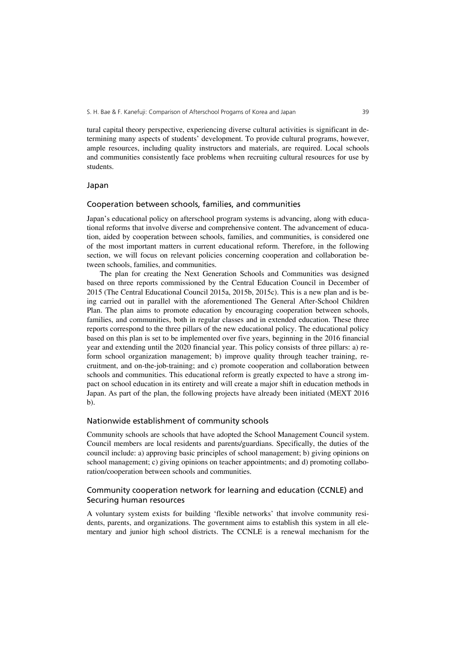#### S. H. Bae & F. Kanefuji: Comparison of Afterschool Progams of Korea and Japan 39

tural capital theory perspective, experiencing diverse cultural activities is significant in determining many aspects of students' development. To provide cultural programs, however, ample resources, including quality instructors and materials, are required. Local schools and communities consistently face problems when recruiting cultural resources for use by students.

#### Japan

## Cooperation between schools, families, and communities

Japan's educational policy on afterschool program systems is advancing, along with educational reforms that involve diverse and comprehensive content. The advancement of education, aided by cooperation between schools, families, and communities, is considered one of the most important matters in current educational reform. Therefore, in the following section, we will focus on relevant policies concerning cooperation and collaboration between schools, families, and communities.

The plan for creating the Next Generation Schools and Communities was designed based on three reports commissioned by the Central Education Council in December of 2015 (The Central Educational Council 2015a, 2015b, 2015c). This is a new plan and is being carried out in parallel with the aforementioned The General After-School Children Plan. The plan aims to promote education by encouraging cooperation between schools, families, and communities, both in regular classes and in extended education. These three reports correspond to the three pillars of the new educational policy. The educational policy based on this plan is set to be implemented over five years, beginning in the 2016 financial year and extending until the 2020 financial year. This policy consists of three pillars: a) reform school organization management; b) improve quality through teacher training, recruitment, and on-the-job-training; and c) promote cooperation and collaboration between schools and communities. This educational reform is greatly expected to have a strong impact on school education in its entirety and will create a major shift in education methods in Japan. As part of the plan, the following projects have already been initiated (MEXT 2016 b).

#### Nationwide establishment of community schools

Community schools are schools that have adopted the School Management Council system. Council members are local residents and parents/guardians. Specifically, the duties of the council include: a) approving basic principles of school management; b) giving opinions on school management; c) giving opinions on teacher appointments; and d) promoting collaboration/cooperation between schools and communities.

## Community cooperation network for learning and education (CCNLE) and Securing human resources

A voluntary system exists for building 'flexible networks' that involve community residents, parents, and organizations. The government aims to establish this system in all elementary and junior high school districts. The CCNLE is a renewal mechanism for the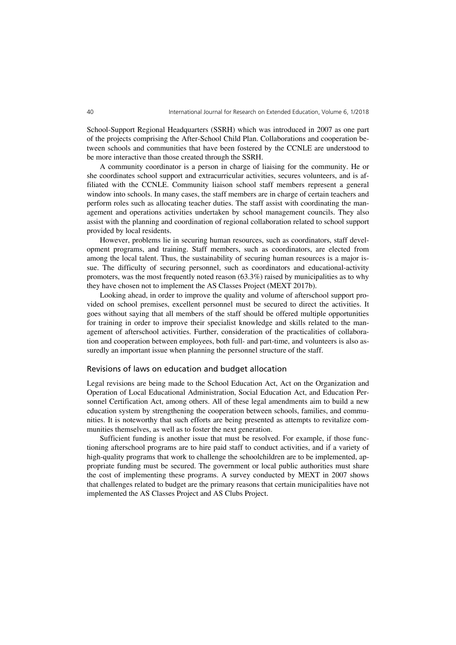School-Support Regional Headquarters (SSRH) which was introduced in 2007 as one part of the projects comprising the After-School Child Plan. Collaborations and cooperation between schools and communities that have been fostered by the CCNLE are understood to be more interactive than those created through the SSRH.

A community coordinator is a person in charge of liaising for the community. He or she coordinates school support and extracurricular activities, secures volunteers, and is affiliated with the CCNLE. Community liaison school staff members represent a general window into schools. In many cases, the staff members are in charge of certain teachers and perform roles such as allocating teacher duties. The staff assist with coordinating the management and operations activities undertaken by school management councils. They also assist with the planning and coordination of regional collaboration related to school support provided by local residents.

However, problems lie in securing human resources, such as coordinators, staff development programs, and training. Staff members, such as coordinators, are elected from among the local talent. Thus, the sustainability of securing human resources is a major issue. The difficulty of securing personnel, such as coordinators and educational-activity promoters, was the most frequently noted reason (63.3%) raised by municipalities as to why they have chosen not to implement the AS Classes Project (MEXT 2017b).

Looking ahead, in order to improve the quality and volume of afterschool support provided on school premises, excellent personnel must be secured to direct the activities. It goes without saying that all members of the staff should be offered multiple opportunities for training in order to improve their specialist knowledge and skills related to the management of afterschool activities. Further, consideration of the practicalities of collaboration and cooperation between employees, both full- and part-time, and volunteers is also assuredly an important issue when planning the personnel structure of the staff.

#### Revisions of laws on education and budget allocation

Legal revisions are being made to the School Education Act, Act on the Organization and Operation of Local Educational Administration, Social Education Act, and Education Personnel Certification Act, among others. All of these legal amendments aim to build a new education system by strengthening the cooperation between schools, families, and communities. It is noteworthy that such efforts are being presented as attempts to revitalize communities themselves, as well as to foster the next generation.

Sufficient funding is another issue that must be resolved. For example, if those functioning afterschool programs are to hire paid staff to conduct activities, and if a variety of high-quality programs that work to challenge the schoolchildren are to be implemented, appropriate funding must be secured. The government or local public authorities must share the cost of implementing these programs. A survey conducted by MEXT in 2007 shows that challenges related to budget are the primary reasons that certain municipalities have not implemented the AS Classes Project and AS Clubs Project.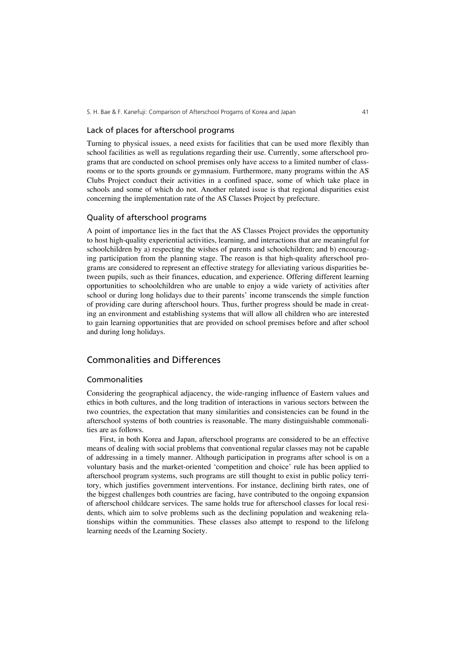#### Lack of places for afterschool programs

Turning to physical issues, a need exists for facilities that can be used more flexibly than school facilities as well as regulations regarding their use. Currently, some afterschool programs that are conducted on school premises only have access to a limited number of classrooms or to the sports grounds or gymnasium. Furthermore, many programs within the AS Clubs Project conduct their activities in a confined space, some of which take place in schools and some of which do not. Another related issue is that regional disparities exist concerning the implementation rate of the AS Classes Project by prefecture.

#### Quality of afterschool programs

A point of importance lies in the fact that the AS Classes Project provides the opportunity to host high-quality experiential activities, learning, and interactions that are meaningful for schoolchildren by a) respecting the wishes of parents and schoolchildren; and b) encouraging participation from the planning stage. The reason is that high-quality afterschool programs are considered to represent an effective strategy for alleviating various disparities between pupils, such as their finances, education, and experience. Offering different learning opportunities to schoolchildren who are unable to enjoy a wide variety of activities after school or during long holidays due to their parents' income transcends the simple function of providing care during afterschool hours. Thus, further progress should be made in creating an environment and establishing systems that will allow all children who are interested to gain learning opportunities that are provided on school premises before and after school and during long holidays.

# Commonalities and Differences

#### Commonalities

Considering the geographical adjacency, the wide-ranging influence of Eastern values and ethics in both cultures, and the long tradition of interactions in various sectors between the two countries, the expectation that many similarities and consistencies can be found in the afterschool systems of both countries is reasonable. The many distinguishable commonalities are as follows.

First, in both Korea and Japan, afterschool programs are considered to be an effective means of dealing with social problems that conventional regular classes may not be capable of addressing in a timely manner. Although participation in programs after school is on a voluntary basis and the market-oriented 'competition and choice' rule has been applied to afterschool program systems, such programs are still thought to exist in public policy territory, which justifies government interventions. For instance, declining birth rates, one of the biggest challenges both countries are facing, have contributed to the ongoing expansion of afterschool childcare services. The same holds true for afterschool classes for local residents, which aim to solve problems such as the declining population and weakening relationships within the communities. These classes also attempt to respond to the lifelong learning needs of the Learning Society.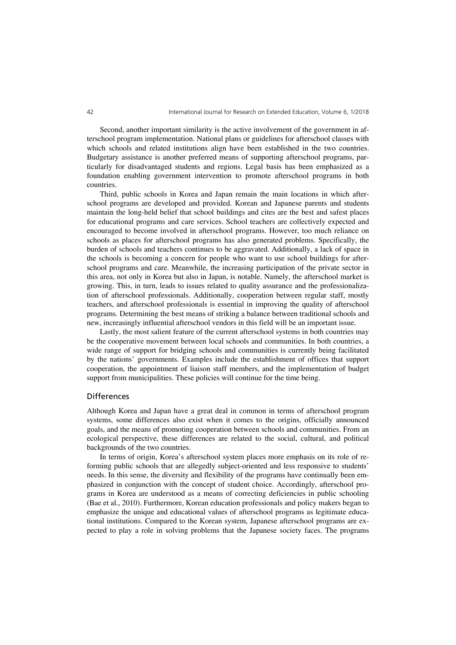Second, another important similarity is the active involvement of the government in afterschool program implementation. National plans or guidelines for afterschool classes with which schools and related institutions align have been established in the two countries. Budgetary assistance is another preferred means of supporting afterschool programs, particularly for disadvantaged students and regions. Legal basis has been emphasized as a foundation enabling government intervention to promote afterschool programs in both countries.

Third, public schools in Korea and Japan remain the main locations in which afterschool programs are developed and provided. Korean and Japanese parents and students maintain the long-held belief that school buildings and cites are the best and safest places for educational programs and care services. School teachers are collectively expected and encouraged to become involved in afterschool programs. However, too much reliance on schools as places for afterschool programs has also generated problems. Specifically, the burden of schools and teachers continues to be aggravated. Additionally, a lack of space in the schools is becoming a concern for people who want to use school buildings for afterschool programs and care. Meanwhile, the increasing participation of the private sector in this area, not only in Korea but also in Japan, is notable. Namely, the afterschool market is growing. This, in turn, leads to issues related to quality assurance and the professionalization of afterschool professionals. Additionally, cooperation between regular staff, mostly teachers, and afterschool professionals is essential in improving the quality of afterschool programs. Determining the best means of striking a balance between traditional schools and new, increasingly influential afterschool vendors in this field will be an important issue.

Lastly, the most salient feature of the current afterschool systems in both countries may be the cooperative movement between local schools and communities. In both countries, a wide range of support for bridging schools and communities is currently being facilitated by the nations' governments. Examples include the establishment of offices that support cooperation, the appointment of liaison staff members, and the implementation of budget support from municipalities. These policies will continue for the time being.

#### Differences

Although Korea and Japan have a great deal in common in terms of afterschool program systems, some differences also exist when it comes to the origins, officially announced goals, and the means of promoting cooperation between schools and communities. From an ecological perspective, these differences are related to the social, cultural, and political backgrounds of the two countries.

In terms of origin, Korea's afterschool system places more emphasis on its role of reforming public schools that are allegedly subject-oriented and less responsive to students' needs. In this sense, the diversity and flexibility of the programs have continually been emphasized in conjunction with the concept of student choice. Accordingly, afterschool programs in Korea are understood as a means of correcting deficiencies in public schooling (Bae et al., 2010). Furthermore, Korean education professionals and policy makers began to emphasize the unique and educational values of afterschool programs as legitimate educational institutions. Compared to the Korean system, Japanese afterschool programs are expected to play a role in solving problems that the Japanese society faces. The programs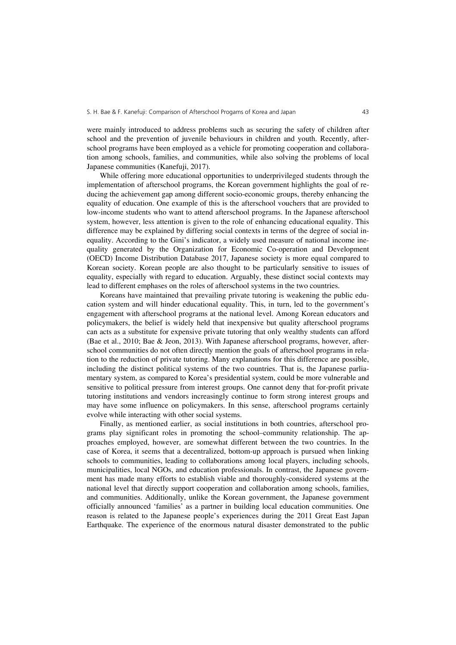were mainly introduced to address problems such as securing the safety of children after school and the prevention of juvenile behaviours in children and youth. Recently, afterschool programs have been employed as a vehicle for promoting cooperation and collaboration among schools, families, and communities, while also solving the problems of local Japanese communities (Kanefuji, 2017).

While offering more educational opportunities to underprivileged students through the implementation of afterschool programs, the Korean government highlights the goal of reducing the achievement gap among different socio-economic groups, thereby enhancing the equality of education. One example of this is the afterschool vouchers that are provided to low-income students who want to attend afterschool programs. In the Japanese afterschool system, however, less attention is given to the role of enhancing educational equality. This difference may be explained by differing social contexts in terms of the degree of social inequality. According to the Gini's indicator, a widely used measure of national income inequality generated by the Organization for Economic Co-operation and Development (OECD) Income Distribution Database 2017, Japanese society is more equal compared to Korean society. Korean people are also thought to be particularly sensitive to issues of equality, especially with regard to education. Arguably, these distinct social contexts may lead to different emphases on the roles of afterschool systems in the two countries.

Koreans have maintained that prevailing private tutoring is weakening the public education system and will hinder educational equality. This, in turn, led to the government's engagement with afterschool programs at the national level. Among Korean educators and policymakers, the belief is widely held that inexpensive but quality afterschool programs can acts as a substitute for expensive private tutoring that only wealthy students can afford (Bae et al., 2010; Bae & Jeon, 2013). With Japanese afterschool programs, however, afterschool communities do not often directly mention the goals of afterschool programs in relation to the reduction of private tutoring. Many explanations for this difference are possible, including the distinct political systems of the two countries. That is, the Japanese parliamentary system, as compared to Korea's presidential system, could be more vulnerable and sensitive to political pressure from interest groups. One cannot deny that for-profit private tutoring institutions and vendors increasingly continue to form strong interest groups and may have some influence on policymakers. In this sense, afterschool programs certainly evolve while interacting with other social systems.

Finally, as mentioned earlier, as social institutions in both countries, afterschool programs play significant roles in promoting the school–community relationship. The approaches employed, however, are somewhat different between the two countries. In the case of Korea, it seems that a decentralized, bottom-up approach is pursued when linking schools to communities, leading to collaborations among local players, including schools, municipalities, local NGOs, and education professionals. In contrast, the Japanese government has made many efforts to establish viable and thoroughly-considered systems at the national level that directly support cooperation and collaboration among schools, families, and communities. Additionally, unlike the Korean government, the Japanese government officially announced 'families' as a partner in building local education communities. One reason is related to the Japanese people's experiences during the 2011 Great East Japan Earthquake. The experience of the enormous natural disaster demonstrated to the public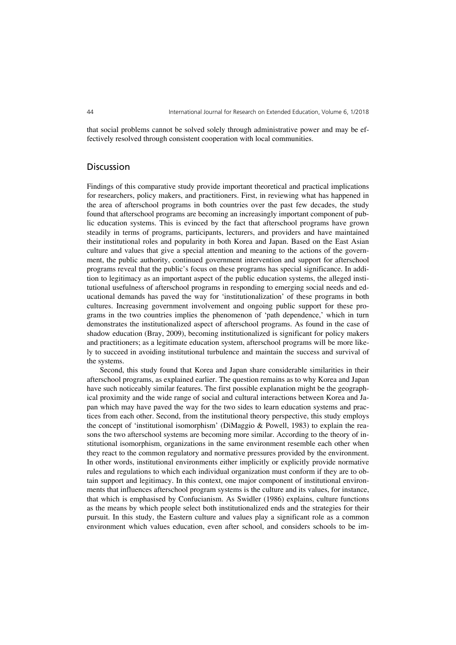that social problems cannot be solved solely through administrative power and may be effectively resolved through consistent cooperation with local communities.

# **Discussion**

Findings of this comparative study provide important theoretical and practical implications for researchers, policy makers, and practitioners. First, in reviewing what has happened in the area of afterschool programs in both countries over the past few decades, the study found that afterschool programs are becoming an increasingly important component of public education systems. This is evinced by the fact that afterschool programs have grown steadily in terms of programs, participants, lecturers, and providers and have maintained their institutional roles and popularity in both Korea and Japan. Based on the East Asian culture and values that give a special attention and meaning to the actions of the government, the public authority, continued government intervention and support for afterschool programs reveal that the public's focus on these programs has special significance. In addition to legitimacy as an important aspect of the public education systems, the alleged institutional usefulness of afterschool programs in responding to emerging social needs and educational demands has paved the way for 'institutionalization' of these programs in both cultures. Increasing government involvement and ongoing public support for these programs in the two countries implies the phenomenon of 'path dependence,' which in turn demonstrates the institutionalized aspect of afterschool programs. As found in the case of shadow education (Bray, 2009), becoming institutionalized is significant for policy makers and practitioners; as a legitimate education system, afterschool programs will be more likely to succeed in avoiding institutional turbulence and maintain the success and survival of the systems.

Second, this study found that Korea and Japan share considerable similarities in their afterschool programs, as explained earlier. The question remains as to why Korea and Japan have such noticeably similar features. The first possible explanation might be the geographical proximity and the wide range of social and cultural interactions between Korea and Japan which may have paved the way for the two sides to learn education systems and practices from each other. Second, from the institutional theory perspective, this study employs the concept of 'institutional isomorphism' (DiMaggio & Powell, 1983) to explain the reasons the two afterschool systems are becoming more similar. According to the theory of institutional isomorphism, organizations in the same environment resemble each other when they react to the common regulatory and normative pressures provided by the environment. In other words, institutional environments either implicitly or explicitly provide normative rules and regulations to which each individual organization must conform if they are to obtain support and legitimacy. In this context, one major component of institutional environments that influences afterschool program systems is the culture and its values, for instance, that which is emphasised by Confucianism. As Swidler (1986) explains, culture functions as the means by which people select both institutionalized ends and the strategies for their pursuit. In this study, the Eastern culture and values play a significant role as a common environment which values education, even after school, and considers schools to be im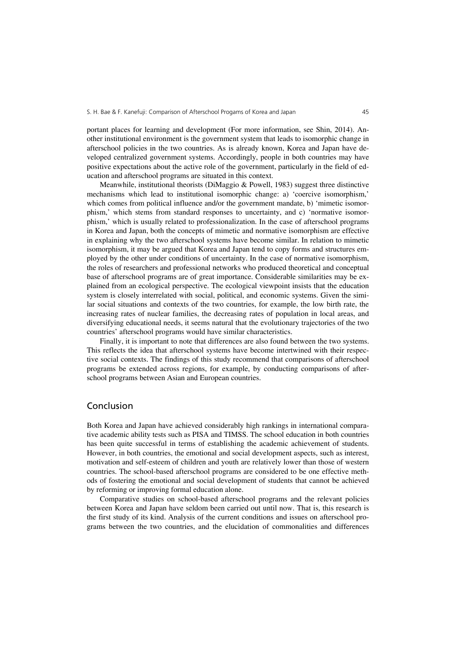portant places for learning and development (For more information, see Shin, 2014). Another institutional environment is the government system that leads to isomorphic change in afterschool policies in the two countries. As is already known, Korea and Japan have developed centralized government systems. Accordingly, people in both countries may have positive expectations about the active role of the government, particularly in the field of education and afterschool programs are situated in this context.

Meanwhile, institutional theorists (DiMaggio & Powell, 1983) suggest three distinctive mechanisms which lead to institutional isomorphic change: a) 'coercive isomorphism,' which comes from political influence and/or the government mandate, b) 'mimetic isomorphism,' which stems from standard responses to uncertainty, and c) 'normative isomorphism,' which is usually related to professionalization. In the case of afterschool programs in Korea and Japan, both the concepts of mimetic and normative isomorphism are effective in explaining why the two afterschool systems have become similar. In relation to mimetic isomorphism, it may be argued that Korea and Japan tend to copy forms and structures employed by the other under conditions of uncertainty. In the case of normative isomorphism, the roles of researchers and professional networks who produced theoretical and conceptual base of afterschool programs are of great importance. Considerable similarities may be explained from an ecological perspective. The ecological viewpoint insists that the education system is closely interrelated with social, political, and economic systems. Given the similar social situations and contexts of the two countries, for example, the low birth rate, the increasing rates of nuclear families, the decreasing rates of population in local areas, and diversifying educational needs, it seems natural that the evolutionary trajectories of the two countries' afterschool programs would have similar characteristics.

Finally, it is important to note that differences are also found between the two systems. This reflects the idea that afterschool systems have become intertwined with their respective social contexts. The findings of this study recommend that comparisons of afterschool programs be extended across regions, for example, by conducting comparisons of afterschool programs between Asian and European countries.

## Conclusion

Both Korea and Japan have achieved considerably high rankings in international comparative academic ability tests such as PISA and TIMSS. The school education in both countries has been quite successful in terms of establishing the academic achievement of students. However, in both countries, the emotional and social development aspects, such as interest, motivation and self-esteem of children and youth are relatively lower than those of western countries. The school-based afterschool programs are considered to be one effective methods of fostering the emotional and social development of students that cannot be achieved by reforming or improving formal education alone.

Comparative studies on school-based afterschool programs and the relevant policies between Korea and Japan have seldom been carried out until now. That is, this research is the first study of its kind. Analysis of the current conditions and issues on afterschool programs between the two countries, and the elucidation of commonalities and differences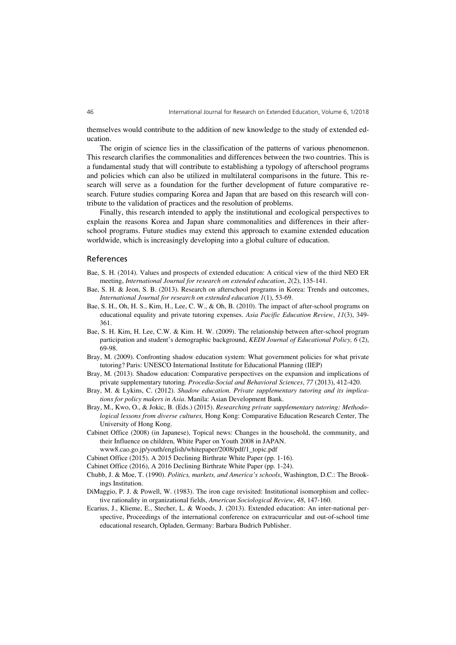themselves would contribute to the addition of new knowledge to the study of extended education.

The origin of science lies in the classification of the patterns of various phenomenon. This research clarifies the commonalities and differences between the two countries. This is a fundamental study that will contribute to establishing a typology of afterschool programs and policies which can also be utilized in multilateral comparisons in the future. This research will serve as a foundation for the further development of future comparative research. Future studies comparing Korea and Japan that are based on this research will contribute to the validation of practices and the resolution of problems.

Finally, this research intended to apply the institutional and ecological perspectives to explain the reasons Korea and Japan share commonalities and differences in their afterschool programs. Future studies may extend this approach to examine extended education worldwide, which is increasingly developing into a global culture of education.

## References

- Bae, S. H. (2014). Values and prospects of extended education: A critical view of the third NEO ER meeting, *International Journal for research on extended education*, *2*(2), 135-141.
- Bae, S. H. & Jeon, S. B. (2013). Research on afterschool programs in Korea: Trends and outcomes, *International Journal for research on extended education 1*(1), 53-69.
- Bae, S. H., Oh, H. S., Kim, H., Lee, C. W., & Oh, B. (2010). The impact of after-school programs on educational equality and private tutoring expenses. *Asia Pacific Education Review*, *11*(3), 349- 361.
- Bae, S. H. Kim, H. Lee, C.W. & Kim. H. W. (2009). The relationship between after-school program participation and student's demographic background, *KEDI Journal of Educational Policy, 6* (2), 69-98.
- Bray, M. (2009). Confronting shadow education system: What government policies for what private tutoring? Paris: UNESCO International Institute for Educational Planning (IIEP)
- Bray, M. (2013). Shadow education: Comparative perspectives on the expansion and implications of private supplementary tutoring*. Procedia-Social and Behavioral Sciences*, *77* (2013), 412-420.
- Bray, M. & Lykins, C. (2012). *Shadow education. Private supplementary tutoring and its implications for policy makers in Asia*. Manila: Asian Development Bank.
- Bray, M., Kwo, O., & Jokic, B. (Eds.) (2015). *Researching private supplementary tutoring: Methodological lessons from diverse cultures,* Hong Kong: Comparative Education Research Center, The University of Hong Kong.
- Cabinet Office (2008) (in Japanese), Topical news: Changes in the household, the community, and their Influence on children, White Paper on Youth 2008 in JAPAN.
	- www8.cao.go.jp/youth/english/whitepaper/2008/pdf/1\_topic.pdf

Cabinet Office (2015). A 2015 Declining Birthrate White Paper (pp. 1-16).

- Cabinet Office (2016), A 2016 Declining Birthrate White Paper (pp. 1-24).
- Chubb, J. & Moe, T. (1990). *Politics, markets, and America's schools*, Washington, D.C.: The Brookings Institution.
- DiMaggio, P. J. & Powell, W. (1983). The iron cage revisited: Institutional isomorphism and collective rationality in organizational fields, *American Sociological Review*, *48*, 147-160.
- Ecarius, J., Klieme, E., Stecher, L. & Woods, J. (2013). Extended education: An inter-national perspective, Proceedings of the international conference on extracurricular and out-of-school time educational research, Opladen, Germany: Barbara Budrich Publisher.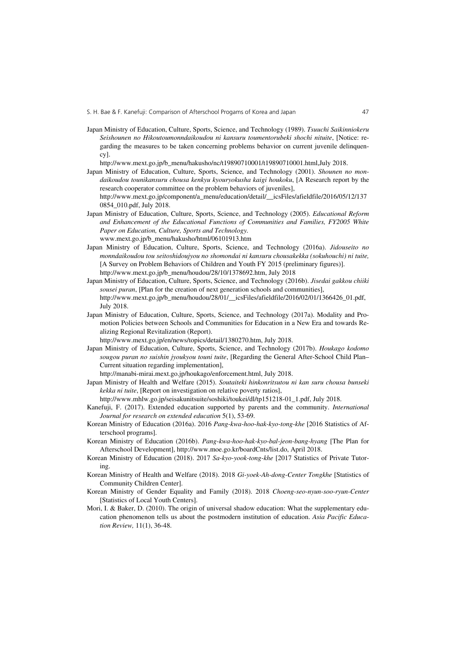S. H. Bae & F. Kanefuji: Comparison of Afterschool Progams of Korea and Japan 47

Japan Ministry of Education, Culture, Sports, Science, and Technology (1989). *Tsuuchi Saikinniokeru Seishounen no Hikoutoumonndaikoudou ni kansuru toumentorubeki shochi nituite*, [Notice: regarding the measures to be taken concerning problems behavior on current juvenile delinquency].

http://www.mext.go.jp/b\_menu/hakusho/nc/t19890710001/t19890710001.html,July 2018.

- Japan Ministry of Education, Culture, Sports, Science, and Technology (2001). *Shounen no mondaikoudou tounikansuru chousa kenkyu kyouryokusha kaigi houkoku*, [A Research report by the research cooperator committee on the problem behaviors of juveniles], http://www.mext.go.jp/component/a\_menu/education/detail/\_\_icsFiles/afieldfile/2016/05/12/137
	- 0854\_010.pdf, July 2018.
- Japan Ministry of Education, Culture, Sports, Science, and Technology (2005). *Educational Reform and Enhancement of the Educational Functions of Communities and Families, FY2005 White Paper on Education, Culture, Sports and Technology.*  www.mext.go.jp/b\_menu/hakusho/html/06101913.htm
- Japan Ministry of Education, Culture, Sports, Science, and Technology (2016a). *Jidouseito no monndaikoudou tou seitoshidoujyou no shomondai ni kansuru chousakekka (sokuhouchi) ni tuite,* [A Survey on Problem Behaviors of Children and Youth FY 2015 (preliminary figures)]. http://www.mext.go.jp/b\_menu/houdou/28/10/1378692.htm, July 2018
- Japan Ministry of Education, Culture, Sports, Science, and Technology (2016b). *Jisedai gakkou chiiki sousei puran*, [Plan for the creation of next generation schools and communities], http://www.mext.go.jp/b\_menu/houdou/28/01/\_\_icsFiles/afieldfile/2016/02/01/1366426\_01.pdf, July 2018.
- Japan Ministry of Education, Culture, Sports, Science, and Technology (2017a). Modality and Promotion Policies between Schools and Communities for Education in a New Era and towards Realizing Regional Revitalization (Report).

http://www.mext.go.jp/en/news/topics/detail/1380270.htm, July 2018.

Japan Ministry of Education, Culture, Sports, Science, and Technology (2017b). *Houkago kodomo sougou puran no suishin jyoukyou touni tuite*, [Regarding the General After-School Child Plan– Current situation regarding implementation],

http://manabi-mirai.mext.go.jp/houkago/enforcement.html, July 2018.

Japan Ministry of Health and Welfare (2015). *Soutaiteki hinkonritsutou ni kan suru chousa bunseki kekka ni tuite*, [Report on investigation on relative poverty ratios],

http://www.mhlw.go.jp/seisakunitsuite/soshiki/toukei/dl/tp151218-01\_1.pdf, July 2018.

- Kanefuji, F. (2017). Extended education supported by parents and the community. *International Journal for research on extended education* 5(1), 53-69.
- Korean Ministry of Education (2016a). 2016 *Pang-kwa-hoo-hak-kyo-tong-khe* [2016 Statistics of Afterschool programs].
- Korean Ministry of Education (2016b). *Pang-kwa-hoo-hak-kyo-bal-jeon-bang-hyang* [The Plan for Afterschool Development], http://www.moe.go.kr/boardCnts/list.do, April 2018.
- Korean Ministry of Education (2018). 2017 *Sa-kyo-yook-tong-khe* [2017 Statistics of Private Tutoring.
- Korean Ministry of Health and Welfare (2018). 2018 *Gi-yoek-Ah-dong-Center Tongkhe* [Statistics of Community Children Center].
- Korean Ministry of Gender Equality and Family (2018). 2018 *Choeng-seo-nyun-soo-ryun-Center* [Statistics of Local Youth Centers].
- Mori, I. & Baker, D. (2010). The origin of universal shadow education: What the supplementary education phenomenon tells us about the postmodern institution of education. *Asia Pacific Education Review,* 11(1), 36-48.